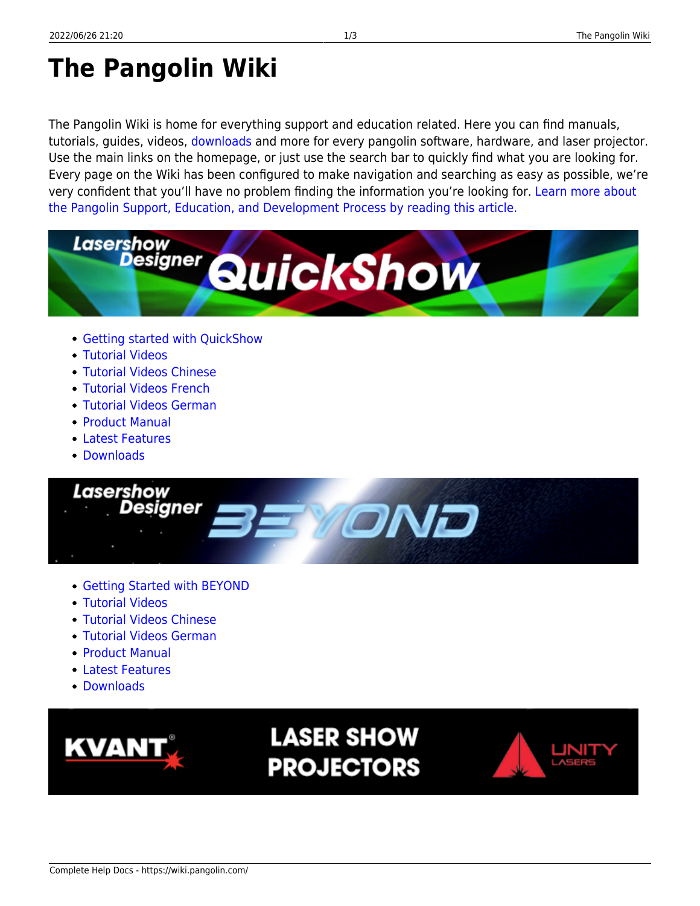# **The Pangolin Wiki**

The Pangolin Wiki is home for everything support and education related. Here you can find manuals, tutorials, guides, videos, [downloads](https://wiki.pangolin.com/doku.php?id=download_center) and more for every pangolin software, hardware, and laser projector. Use the main links on the homepage, or just use the search bar to quickly find what you are looking for. Every page on the Wiki has been configured to make navigation and searching as easy as possible, we're very confident that you'll have no problem finding the information you're looking for. [Learn more about](https://wiki.pangolin.com/doku.php?id=wiki) [the Pangolin Support, Education, and Development Process by reading this article.](https://wiki.pangolin.com/doku.php?id=wiki)



- [Getting started with QuickShow](https://wiki.pangolin.com/doku.php?id=quickshow:video:quickshow_quickhints_introduction_and_quick_setup)
- [Tutorial Videos](https://wiki.pangolin.com/doku.php?id=quickshow:video)
- [Tutorial Videos Chinese](https://wiki.pangolin.com/doku.php?id=quickshow:video-chinese)
- [Tutorial Videos French](https://wiki.pangolin.com/doku.php?id=quickshow:video-french)
- [Tutorial Videos German](https://wiki.pangolin.com/doku.php?id=quickshow:video-german)
- [Product Manual](https://wiki.pangolin.com/doku.php?id=quickshow:start)
- [Latest Features](https://wiki.pangolin.com/doku.php?id=quickshow:latest_features)
- [Downloads](https://wiki.pangolin.com/doku.php?id=quickshow:downloads)



- [Getting Started with BEYOND](https://wiki.pangolin.com/doku.php?id=beyond:video:how_to_use_the_beyond_licensing_and_registration_system)
- [Tutorial Videos](https://wiki.pangolin.com/doku.php?id=beyond:video)
- [Tutorial Videos Chinese](https://wiki.pangolin.com/doku.php?id=beyond:video-chinese)
- [Tutorial Videos German](https://wiki.pangolin.com/doku.php?id=beyond:video-german)
- [Product Manual](https://wiki.pangolin.com/doku.php?id=beyond:start)
- [Latest Features](https://wiki.pangolin.com/doku.php?id=beyond:latest_features)
- [Downloads](https://wiki.pangolin.com/doku.php?id=beyond:downloads)



## **LASER SHOW PROJECTORS**

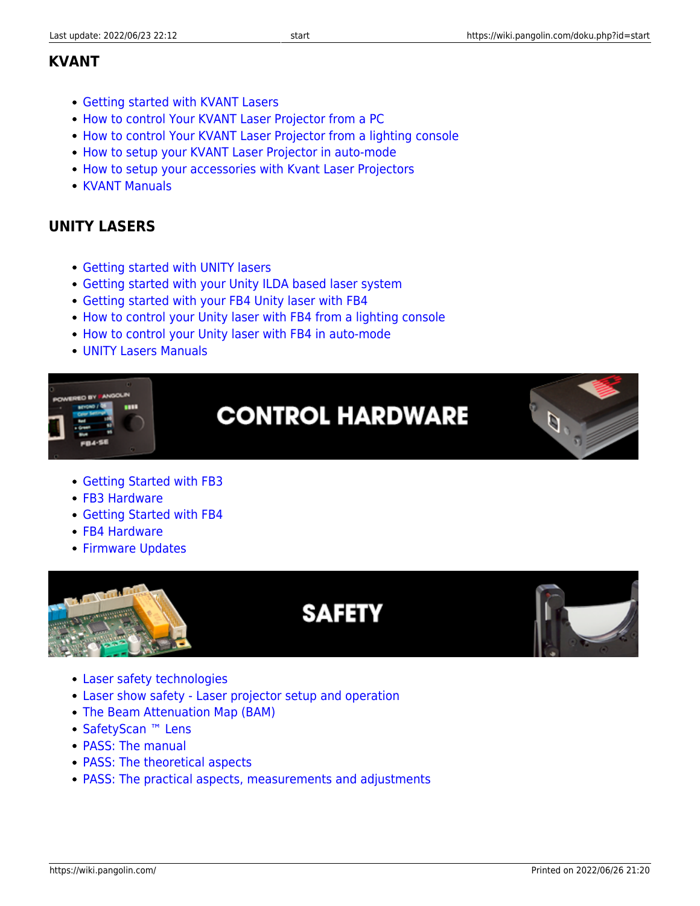#### **KVANT**

- [Getting started with KVANT Lasers](https://wiki.pangolin.com/doku.php?id=laserprojectors:getting_started_with_kvant_lasers)
- [How to control Your KVANT Laser Projector from a PC](https://wiki.pangolin.com/doku.php?id=laserprojectors:howto_control_kvant_from_pc)
- [How to control Your KVANT Laser Projector from a lighting console](https://wiki.pangolin.com/doku.php?id=laserprojectors:howto_control_kvant_from_console)
- [How to setup your KVANT Laser Projector in auto-mode](https://wiki.pangolin.com/doku.php?id=laserprojectors:howto_setup_kvant_in_auto_mode)
- [How to setup your accessories with Kvant Laser Projectors](https://wiki.pangolin.com/doku.php?id=laserprojectors:howto_accessories)
- [KVANT Manuals](https://lasershowprojector.myshopify.com/pages/downloads)

### **UNITY LASERS**

- [Getting started with UNITY lasers](https://wiki.pangolin.com/doku.php?id=laserprojectors:getting_started_with_unity_lasers)
- [Getting started with your Unity ILDA based laser system](https://wiki.pangolin.com/doku.php?id=laserprojectors:getting_started_unity_ilda_laser)
- [Getting started with your FB4 Unity laser with FB4](https://wiki.pangolin.com/doku.php?id=laserprojectors:getting_started_unity_fb4_laser)
- [How to control your Unity laser with FB4 from a lighting console](https://wiki.pangolin.com/doku.php?id=laserprojectors:control_unify_from_console)
- [How to control your Unity laser with FB4 in auto-mode](https://wiki.pangolin.com/doku.php?id=laserprojectors:control_unity_in_auto-mode)
- [UNITY Lasers Manuals](https://lasershowprojector.myshopify.com/pages/downloads#Unity)



- [Getting Started with FB3](https://wiki.pangolin.com/doku.php?id=quickshow:video:quickshow_quickhints_introduction_and_quick_setup)
- [FB3 Hardware](https://wiki.pangolin.com/doku.php?id=hardware:fb3)
- [Getting Started with FB4](https://wiki.pangolin.com/doku.php?id=hardware:fb4:quickstart)
- [FB4 Hardware](https://wiki.pangolin.com/doku.php?id=hardware:fb4)
- **[Firmware Updates](https://wiki.pangolin.com/doku.php?id=hardware:firmware)**



### **SAFETY**



- [Laser safety technologies](https://wiki.pangolin.com/doku.php?id=safety:lasersafetytechnologies)
- [Laser show safety Laser projector setup and operation](https://wiki.pangolin.com/doku.php?id=quickshow:video:lasershowsafety)
- [The Beam Attenuation Map \(BAM\)](https://wiki.pangolin.com/doku.php?id=quickshow:bam)
- [SafetyScan ™ Lens](https://wiki.pangolin.com/doku.php?id=safety:safetyscan_lens)
- [PASS: The manual](https://wiki.pangolin.com/doku.php?id=safety:pass)
- [PASS: The theoretical aspects](https://wiki.pangolin.com/doku.php?id=safety:pass-theoretical-aspects)
- [PASS: The practical aspects, measurements and adjustments](https://wiki.pangolin.com/doku.php?id=safety:pass-practical-aspects)